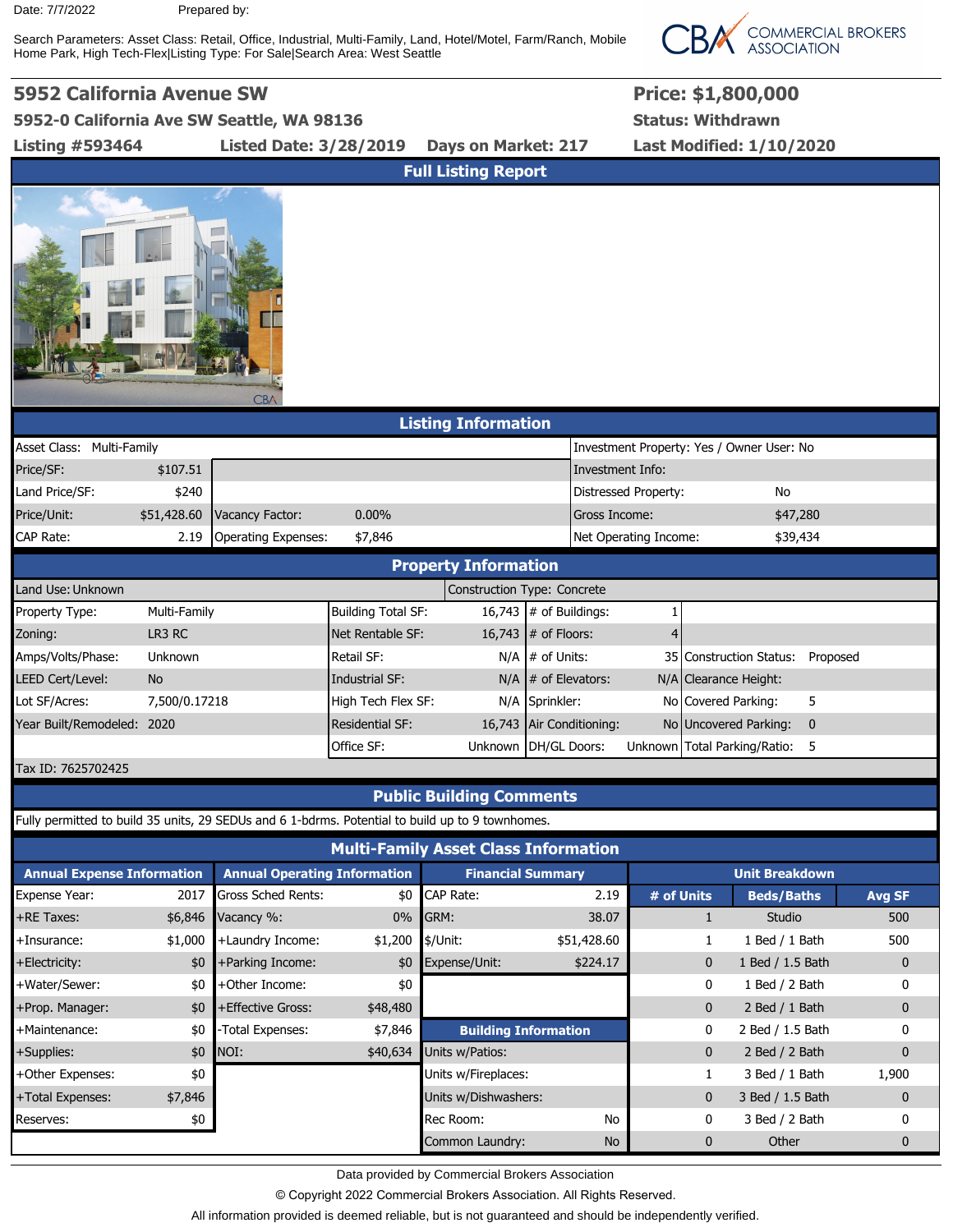Date: 7/7/2022 Prepared by:

Search Parameters: Asset Class: Retail, Office, Industrial, Multi-Family, Land, Hotel/Motel, Farm/Ranch, Mobile Home Park, High Tech-Flex|Listing Type: For Sale|Search Area: West Seattle



**5952 California Avenue SW Price: \$1,800,000**

**5952-0 California Ave SW Seattle, WA 98136 Status: Withdrawn**

**Listing #593464 Listed Date: 3/28/2019 Days on Market: 217 Last Modified: 1/10/2020**

 $CB$ 

| <b>Listing Information</b>   |                |                                           |                           |  |                             |                       |                                |              |  |  |
|------------------------------|----------------|-------------------------------------------|---------------------------|--|-----------------------------|-----------------------|--------------------------------|--------------|--|--|
| Multi-Family<br>Asset Class: |                | Investment Property: Yes / Owner User: No |                           |  |                             |                       |                                |              |  |  |
| Price/SF:                    | \$107.51       |                                           |                           |  |                             | Investment Info:      |                                |              |  |  |
| Land Price/SF:               | \$240          |                                           |                           |  |                             | Distressed Property:  | No                             |              |  |  |
| Price/Unit:                  | \$51,428.60    | Vacancy Factor:                           | $0.00\%$                  |  | Gross Income:               |                       | \$47,280                       |              |  |  |
| CAP Rate:                    | 2.19           | Operating Expenses:                       | \$7,846                   |  |                             | Net Operating Income: | \$39,434                       |              |  |  |
| <b>Property Information</b>  |                |                                           |                           |  |                             |                       |                                |              |  |  |
| Land Use: Unknown            |                |                                           |                           |  | Construction Type: Concrete |                       |                                |              |  |  |
| Property Type:               | Multi-Family   |                                           | <b>Building Total SF:</b> |  | 16,743 $\#$ of Buildings:   |                       |                                |              |  |  |
| Zoning:                      | LR3 RC         |                                           | Net Rentable SF:          |  | 16,743 $\#$ of Floors:      |                       |                                |              |  |  |
| Amps/Volts/Phase:            | <b>Unknown</b> |                                           | Retail SF:                |  | $N/A$ $\mid \#$ of Units:   |                       | 35 Construction Status:        | Proposed     |  |  |
| LEED Cert/Level:             | <b>No</b>      |                                           | Industrial SF:            |  | $N/A$   # of Elevators:     |                       | N/A Clearance Height:          |              |  |  |
| Lot SF/Acres:                | 7,500/0.17218  |                                           | High Tech Flex SF:        |  | N/A Sprinkler:              |                       | No Covered Parking:            | 5            |  |  |
| Year Built/Remodeled:        | 2020           |                                           | <b>Residential SF:</b>    |  | 16,743 Air Conditioning:    |                       | No Uncovered Parking:          | $\mathbf{0}$ |  |  |
|                              |                |                                           | Office SF:                |  | Unknown   DH/GL Doors:      |                       | Unknown   Total Parking/Ratio: | 5            |  |  |

**Full Listing Report**

Tax ID: 7625702425

## **Public Building Comments**

Fully permitted to build 35 units, 29 SEDUs and 6 1-bdrms. Potential to build up to 9 townhomes.

| <b>Multi-Family Asset Class Information</b> |         |                                     |          |                             |             |                       |                   |              |  |  |  |  |
|---------------------------------------------|---------|-------------------------------------|----------|-----------------------------|-------------|-----------------------|-------------------|--------------|--|--|--|--|
| <b>Annual Expense Information</b>           |         | <b>Annual Operating Information</b> |          | <b>Financial Summary</b>    |             | <b>Unit Breakdown</b> |                   |              |  |  |  |  |
| Expense Year:                               | 2017    | <b>Gross Sched Rents:</b>           | \$0      | <b>CAP Rate:</b>            | 2.19        | # of Units            | <b>Beds/Baths</b> | Avg SF       |  |  |  |  |
| +RE Taxes:                                  | \$6,846 | Vacancy %:                          | $0\%$    | <b>IGRM:</b>                | 38.07       | Τ.                    | Studio            | 500          |  |  |  |  |
| +Insurance:                                 | \$1,000 | +Laundry Income:                    | \$1,200  | \$/Unit:                    | \$51,428.60 |                       | Bed / 1 Bath      | 500          |  |  |  |  |
| +Electricity:                               | \$0     | +Parking Income:                    | \$0      | Expense/Unit:               | \$224.17    | 0                     | 1 Bed / 1.5 Bath  | $\mathbf{0}$ |  |  |  |  |
| +Water/Sewer:                               | \$0     | +Other Income:                      | \$0      |                             |             | 0                     | 1 Bed / 2 Bath    | 0            |  |  |  |  |
| +Prop. Manager:                             | \$0     | +Effective Gross:                   | \$48,480 |                             |             | $\mathbf{0}$          | 2 Bed / 1 Bath    | $\mathbf{0}$ |  |  |  |  |
| +Maintenance:                               | \$0     | -Total Expenses:                    | \$7,846  | <b>Building Information</b> |             | 0                     | 2 Bed / 1.5 Bath  | 0            |  |  |  |  |
| +Supplies:                                  | \$0     | NOI:                                | \$40,634 | Units w/Patios:             |             | $\mathbf{0}$          | 2 Bed / 2 Bath    | $\mathbf{0}$ |  |  |  |  |
| +Other Expenses:                            | \$0     |                                     |          | Units w/Fireplaces:         |             |                       | 3 Bed / 1 Bath    | 1,900        |  |  |  |  |
| +Total Expenses:                            | \$7,846 |                                     |          | Units w/Dishwashers:        |             | $\mathbf{0}$          | 3 Bed / 1.5 Bath  | $\mathbf 0$  |  |  |  |  |
| Reserves:                                   | \$0     |                                     |          | Rec Room:                   | No          | 0                     | 3 Bed / 2 Bath    | 0            |  |  |  |  |
|                                             |         |                                     |          | Common Laundry:             | <b>No</b>   | $\mathbf{0}$          | Other             | 0            |  |  |  |  |

Data provided by Commercial Brokers Association

© Copyright 2022 Commercial Brokers Association. All Rights Reserved.

All information provided is deemed reliable, but is not guaranteed and should be independently verified.